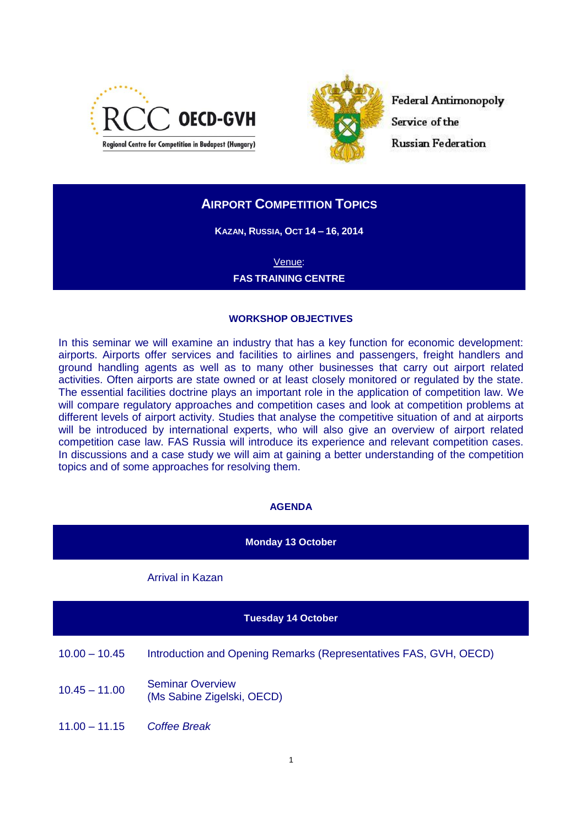



**Federal Antimonopoly** Service of the **Russian Federation** 

# **AIRPORT COMPETITION TOPICS**

**KAZAN, RUSSIA, OCT 14 – 16, 2014**

Venue: **FAS TRAINING CENTRE**

### **WORKSHOP OBJECTIVES**

In this seminar we will examine an industry that has a key function for economic development: airports. Airports offer services and facilities to airlines and passengers, freight handlers and ground handling agents as well as to many other businesses that carry out airport related activities. Often airports are state owned or at least closely monitored or regulated by the state. The essential facilities doctrine plays an important role in the application of competition law. We will compare regulatory approaches and competition cases and look at competition problems at different levels of airport activity. Studies that analyse the competitive situation of and at airports will be introduced by international experts, who will also give an overview of airport related competition case law. FAS Russia will introduce its experience and relevant competition cases. In discussions and a case study we will aim at gaining a better understanding of the competition topics and of some approaches for resolving them.

#### **AGENDA**

| <b>Monday 13 October</b>  |                                                                   |  |
|---------------------------|-------------------------------------------------------------------|--|
|                           | <b>Arrival in Kazan</b>                                           |  |
| <b>Tuesday 14 October</b> |                                                                   |  |
| $10.00 - 10.45$           | Introduction and Opening Remarks (Representatives FAS, GVH, OECD) |  |
| $10.45 - 11.00$           | <b>Seminar Overview</b><br>(Ms Sabine Zigelski, OECD)             |  |
| $11.00 - 11.15$           | <b>Coffee Break</b>                                               |  |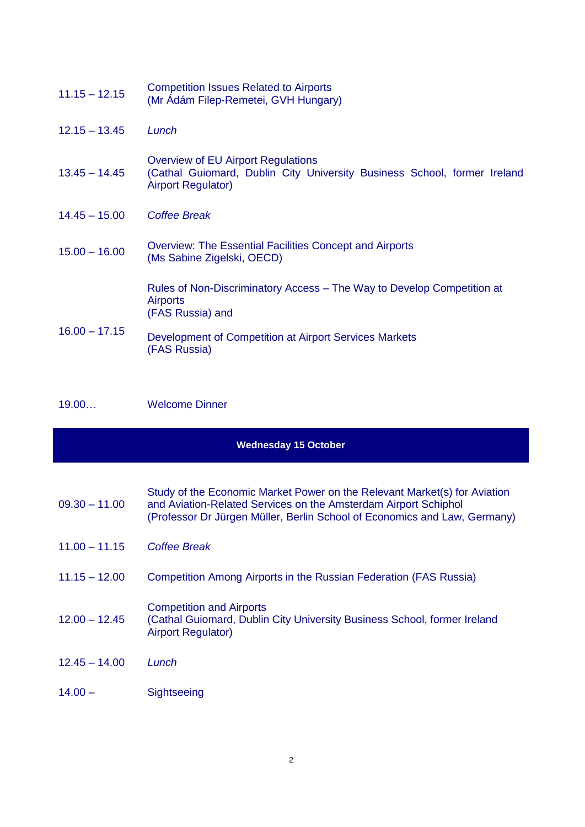| $11.15 - 12.15$ | <b>Competition Issues Related to Airports</b><br>(Mr Adám Filep-Remetei, GVH Hungary)                                                              |
|-----------------|----------------------------------------------------------------------------------------------------------------------------------------------------|
| $12.15 - 13.45$ | Lunch                                                                                                                                              |
| $13.45 - 14.45$ | <b>Overview of EU Airport Regulations</b><br>(Cathal Guiomard, Dublin City University Business School, former Ireland<br><b>Airport Regulator)</b> |
| $14.45 - 15.00$ | Coffee Break                                                                                                                                       |
| $15.00 - 16.00$ | <b>Overview: The Essential Facilities Concept and Airports</b><br>(Ms Sabine Zigelski, OECD)                                                       |
|                 | Rules of Non-Discriminatory Access - The Way to Develop Competition at<br><b>Airports</b><br>(FAS Russia) and                                      |
| $16.00 - 17.15$ | Development of Competition at Airport Services Markets<br>(FAS Russia)                                                                             |

19.00… Welcome Dinner

## **Wednesday 15 October**

|                 | Study of the Economic Market Power on the Relevant Market(s) for Aviation |
|-----------------|---------------------------------------------------------------------------|
| $09.30 - 11.00$ | and Aviation-Related Services on the Amsterdam Airport Schiphol           |
|                 | (Professor Dr Jürgen Müller, Berlin School of Economics and Law, Germany) |

- 11.00 11.15 *Coffee Break*
- 11.15 12.00 Competition Among Airports in the Russian Federation (FAS Russia)
- $12.00 12.45$ Competition and Airports (Cathal Guiomard, Dublin City University Business School, former Ireland Airport Regulator)
- 12.45 14.00 *Lunch*
- 14.00 Sightseeing